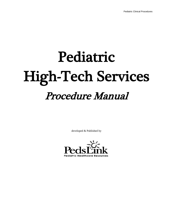# Pediatric High-Tech Services Procedure Manual

developed & Published by

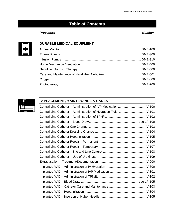# **Table of Contents**

#### Procedure Number



#### **DURABLE MEDICAL EQUIPMENT**



#### **IV PLACEMENT, MAINTENANCE & CARES**

| Central Line Catheter - Administration of IVP Medication IV-100 |  |
|-----------------------------------------------------------------|--|
|                                                                 |  |
|                                                                 |  |
|                                                                 |  |
|                                                                 |  |
|                                                                 |  |
|                                                                 |  |
|                                                                 |  |
|                                                                 |  |
|                                                                 |  |
|                                                                 |  |
|                                                                 |  |
|                                                                 |  |
|                                                                 |  |
|                                                                 |  |
|                                                                 |  |
|                                                                 |  |
|                                                                 |  |
|                                                                 |  |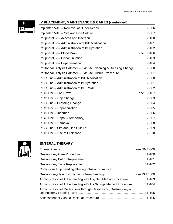

#### **IV PLACEMENT, MAINTENANCE & CARES (continued)**

| Peritoneal Dialysis Catheter - Exit Site Cleaning & Dressing Change IV-500 |  |
|----------------------------------------------------------------------------|--|
|                                                                            |  |
|                                                                            |  |
|                                                                            |  |
|                                                                            |  |
|                                                                            |  |
|                                                                            |  |
|                                                                            |  |
|                                                                            |  |
|                                                                            |  |
|                                                                            |  |
|                                                                            |  |
|                                                                            |  |
|                                                                            |  |



## **ENTERAL THERAPY**

| Continuous Drip Feeding Utilizing Infusion Pump via                   |  |
|-----------------------------------------------------------------------|--|
|                                                                       |  |
| Administration of Tube Feeding - Bolus, Bag Method ProcedureET-103    |  |
| Administration of Tube Feeding - Bolus Syringe Method ProcedureET-104 |  |
| Administration of Medications through Nasogastric, Gastrostomy or     |  |
|                                                                       |  |